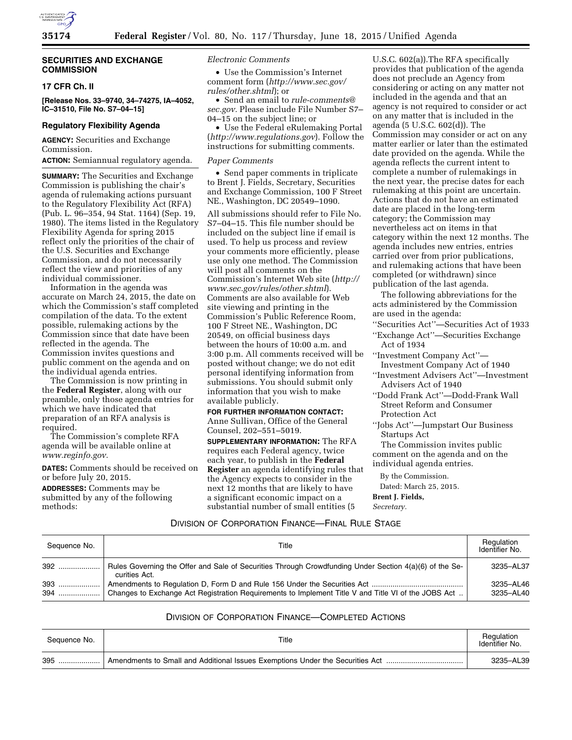

# **SECURITIES AND EXCHANGE COMMISSION**

## **17 CFR Ch. II**

**[Release Nos. 33–9740, 34–74275, IA–4052, IC–31510, File No. S7–04–15]** 

# **Regulatory Flexibility Agenda**

**AGENCY:** Securities and Exchange Commission.

# **ACTION:** Semiannual regulatory agenda.

**SUMMARY:** The Securities and Exchange Commission is publishing the chair's agenda of rulemaking actions pursuant to the Regulatory Flexibility Act (RFA) (Pub. L. 96–354, 94 Stat. 1164) (Sep. 19, 1980). The items listed in the Regulatory Flexibility Agenda for spring 2015 reflect only the priorities of the chair of the U.S. Securities and Exchange Commission, and do not necessarily reflect the view and priorities of any individual commissioner.

Information in the agenda was accurate on March 24, 2015, the date on which the Commission's staff completed compilation of the data. To the extent possible, rulemaking actions by the Commission since that date have been reflected in the agenda. The Commission invites questions and public comment on the agenda and on the individual agenda entries.

The Commission is now printing in the **Federal Register**, along with our preamble, only those agenda entries for which we have indicated that preparation of an RFA analysis is required.

The Commission's complete RFA agenda will be available online at *[www.reginfo.gov.](http://www.reginfo.gov)* 

**DATES:** Comments should be received on or before July 20, 2015.

**ADDRESSES:** Comments may be submitted by any of the following methods:

## *Electronic Comments*

• Use the Commission's Internet comment form (*[http://www.sec.gov/](http://www.sec.gov/rules/other.shtml) [rules/other.shtml](http://www.sec.gov/rules/other.shtml)*); or

• Send an email to *[rule-comments@](mailto:rule-comments@sec.gov) [sec.gov.](mailto:rule-comments@sec.gov)* Please include File Number S7– 04–15 on the subject line; or

• Use the Federal eRulemaking Portal (*<http://www.regulations.gov>*). Follow the instructions for submitting comments.

#### *Paper Comments*

• Send paper comments in triplicate to Brent J. Fields, Secretary, Securities and Exchange Commission, 100 F Street NE., Washington, DC 20549–1090.

All submissions should refer to File No. S7–04–15. This file number should be included on the subject line if email is used. To help us process and review your comments more efficiently, please use only one method. The Commission will post all comments on the Commission's Internet Web site (*[http://](http://www.sec.gov/rules/other.shtml)  [www.sec.gov/rules/other.shtml](http://www.sec.gov/rules/other.shtml)*). Comments are also available for Web site viewing and printing in the Commission's Public Reference Room, 100 F Street NE., Washington, DC 20549, on official business days between the hours of 10:00 a.m. and 3:00 p.m. All comments received will be posted without change; we do not edit personal identifying information from submissions. You should submit only information that you wish to make available publicly.

# **FOR FURTHER INFORMATION CONTACT:**

Anne Sullivan, Office of the General Counsel, 202–551–5019.

**SUPPLEMENTARY INFORMATION:** The RFA requires each Federal agency, twice each year, to publish in the **Federal Register** an agenda identifying rules that the Agency expects to consider in the next 12 months that are likely to have a significant economic impact on a substantial number of small entities (5

U.S.C. 602(a)).The RFA specifically provides that publication of the agenda does not preclude an Agency from considering or acting on any matter not included in the agenda and that an agency is not required to consider or act on any matter that is included in the agenda (5 U.S.C. 602(d)). The Commission may consider or act on any matter earlier or later than the estimated date provided on the agenda. While the agenda reflects the current intent to complete a number of rulemakings in the next year, the precise dates for each rulemaking at this point are uncertain. Actions that do not have an estimated date are placed in the long-term category; the Commission may nevertheless act on items in that category within the next 12 months. The agenda includes new entries, entries carried over from prior publications, and rulemaking actions that have been completed (or withdrawn) since publication of the last agenda.

The following abbreviations for the acts administered by the Commission are used in the agenda:

''Securities Act''—Securities Act of 1933 ''Exchange Act''—Securities Exchange Act of 1934

- ''Investment Company Act''— Investment Company Act of 1940
- ''Investment Advisers Act''—Investment Advisers Act of 1940
- ''Dodd Frank Act''—Dodd-Frank Wall Street Reform and Consumer Protection Act

''Jobs Act''—Jumpstart Our Business Startups Act

The Commission invites public comment on the agenda and on the

individual agenda entries.

By the Commission. Dated: March 25, 2015.

**Brent J. Fields,** 

*Secretary.* 

# DIVISION OF CORPORATION FINANCE—FINAL RULE STAGE

| Sequence No. | Title                                                                                                                   | Regulation<br>Identifier No. |
|--------------|-------------------------------------------------------------------------------------------------------------------------|------------------------------|
| 392          | Rules Governing the Offer and Sale of Securities Through Crowdfunding Under Section 4(a)(6) of the Se-<br>curities Act. | 3235-AL37                    |
| 393<br>394   | Changes to Exchange Act Registration Requirements to Implement Title V and Title VI of the JOBS Act                     | 3235-AL46<br>3235-AL40       |

# DIVISION OF CORPORATION FINANCE—COMPLETED ACTIONS

| Sequence No. | Title                                                                         | Regulation<br>Identifier No. |
|--------------|-------------------------------------------------------------------------------|------------------------------|
| 395          | Amendments to Small and Additional Issues Exemptions Under the Securities Act | 3235-AL39                    |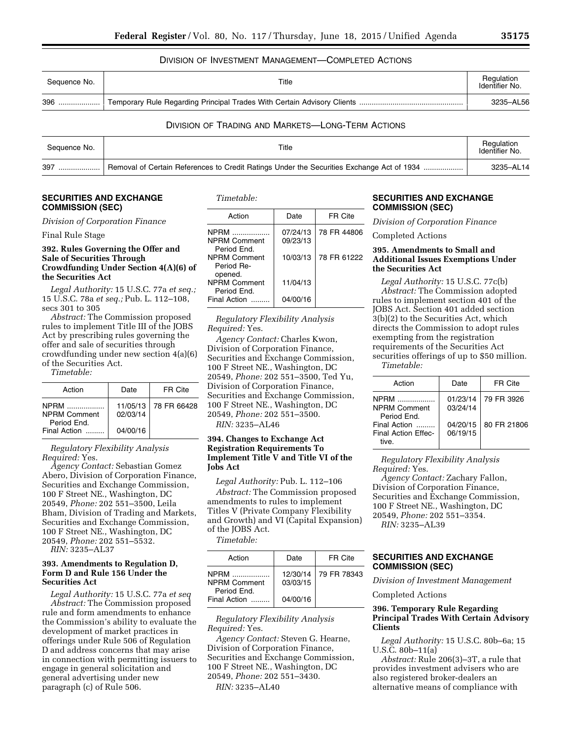# DIVISION OF INVESTMENT MANAGEMENT—COMPLETED ACTIONS

| Sequence No. | Title | Regulation<br>Identifier No. |
|--------------|-------|------------------------------|
| 396          |       | 3235-AL56                    |

# DIVISION OF TRADING AND MARKETS—LONG-TERM ACTIONS

| Sequence No. | Title                                                                                     | Regulation<br>Identifier No. |
|--------------|-------------------------------------------------------------------------------------------|------------------------------|
| 397<br>      | Removal of Certain References to Credit Ratings Under the Securities Exchange Act of 1934 | 3235-AL14                    |

# **SECURITIES AND EXCHANGE COMMISSION (SEC)**

*Division of Corporation Finance* 

#### Final Rule Stage

## **392. Rules Governing the Offer and Sale of Securities Through Crowdfunding Under Section 4(A)(6) of the Securities Act**

*Legal Authority:* 15 U.S.C. 77a *et seq.;*  15 U.S.C. 78a *et seq.;* Pub. L. 112–108, secs 301 to 305

*Abstract:* The Commission proposed rules to implement Title III of the JOBS Act by prescribing rules governing the offer and sale of securities through crowdfunding under new section 4(a)(6) of the Securities Act.

*Timetable:* 

| Action                                            | Date                 | FR Cite     |
|---------------------------------------------------|----------------------|-------------|
| <b>NPRM</b><br><b>NPRM Comment</b><br>Period End. | 11/05/13<br>02/03/14 | 78 FR 66428 |
| Final Action                                      | 04/00/16             |             |

*Regulatory Flexibility Analysis Required:* Yes.

*Agency Contact:* Sebastian Gomez Abero, Division of Corporation Finance, Securities and Exchange Commission, 100 F Street NE., Washington, DC 20549, *Phone:* 202 551–3500, Leila Bham, Division of Trading and Markets, Securities and Exchange Commission, 100 F Street NE., Washington, DC 20549, *Phone:* 202 551–5532.

*RIN:* 3235–AL37

## **393. Amendments to Regulation D, Form D and Rule 156 Under the Securities Act**

*Legal Authority:* 15 U.S.C. 77a *et seq Abstract:* The Commission proposed rule and form amendments to enhance the Commission's ability to evaluate the development of market practices in offerings under Rule 506 of Regulation D and address concerns that may arise in connection with permitting issuers to engage in general solicitation and general advertising under new paragraph (c) of Rule 506.

| Timetable: |  |
|------------|--|
|------------|--|

| Action                                                 | Date                 | FR Cite     |
|--------------------------------------------------------|----------------------|-------------|
| <b>NPRM</b><br>.<br><b>NPRM Comment</b><br>Period Fnd. | 07/24/13<br>09/23/13 | 78 FR 44806 |
| <b>NPRM Comment</b><br>Period Re-<br>opened.           | 10/03/13             | 78 FR 61222 |
| <b>NPRM Comment</b><br>Period End.                     | 11/04/13             |             |
| Final Action                                           | 04/00/16             |             |

*Regulatory Flexibility Analysis Required:* Yes.

*Agency Contact:* Charles Kwon, Division of Corporation Finance, Securities and Exchange Commission, 100 F Street NE., Washington, DC 20549, *Phone:* 202 551–3500, Ted Yu, Division of Corporation Finance, Securities and Exchange Commission, 100 F Street NE., Washington, DC 20549, *Phone:* 202 551–3500.

*RIN:* 3235–AL46

# **394. Changes to Exchange Act Registration Requirements To Implement Title V and Title VI of the Jobs Act**

*Legal Authority:* Pub. L. 112–106 *Abstract:* The Commission proposed amendments to rules to implement Titles V (Private Company Flexibility and Growth) and VI (Capital Expansion) of the JOBS Act.

*Timetable:* 

| Action                                            | Date                 | FR Cite     |
|---------------------------------------------------|----------------------|-------------|
| <b>NPRM</b><br><b>NPRM Comment</b><br>Period Fnd. | 12/30/14<br>03/03/15 | 79 FR 78343 |
| Final Action                                      | 04/00/16             |             |

## *Regulatory Flexibility Analysis Required:* Yes.

*Agency Contact:* Steven G. Hearne, Division of Corporation Finance, Securities and Exchange Commission, 100 F Street NE., Washington, DC 20549, *Phone:* 202 551–3430. *RIN:* 3235–AL40

# **SECURITIES AND EXCHANGE COMMISSION (SEC)**

*Division of Corporation Finance* 

Completed Actions

## **395. Amendments to Small and Additional Issues Exemptions Under the Securities Act**

*Legal Authority:* 15 U.S.C. 77c(b) *Abstract:* The Commission adopted rules to implement section 401 of the JOBS Act. Section 401 added section 3(b)(2) to the Securities Act, which directs the Commission to adopt rules exempting from the registration requirements of the Securities Act securities offerings of up to \$50 million. *Timetable:* 

| Action                                      | Date                 | FR Cite     |
|---------------------------------------------|----------------------|-------------|
| NPRM<br><b>NPRM Comment</b><br>Period Fnd.  | 01/23/14<br>03/24/14 | 79 FR 3926  |
| Final Action<br>Final Action Effec-<br>tive | 04/20/15<br>06/19/15 | 80 FR 21806 |

*Regulatory Flexibility Analysis Required:* Yes.

*Agency Contact:* Zachary Fallon, Division of Corporation Finance, Securities and Exchange Commission, 100 F Street NE., Washington, DC 20549, *Phone:* 202 551–3354. *RIN:* 3235–AL39

## **SECURITIES AND EXCHANGE COMMISSION (SEC)**

*Division of Investment Management* 

Completed Actions

#### **396. Temporary Rule Regarding Principal Trades With Certain Advisory Clients**

*Legal Authority:* 15 U.S.C. 80b–6a; 15 U.S.C. 80b–11(a)

*Abstract:* Rule 206(3)–3T, a rule that provides investment advisers who are also registered broker-dealers an alternative means of compliance with